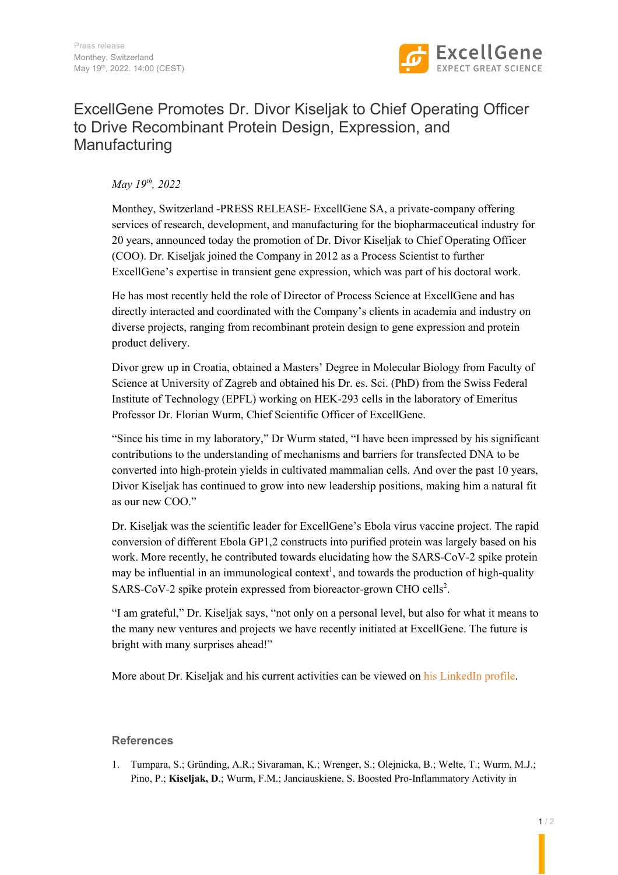

# ExcellGene Promotes Dr. Divor Kiseljak to Chief Operating Officer to Drive Recombinant Protein Design, Expression, and Manufacturing

## *May 19th, 2022*

Monthey, Switzerland -PRESS RELEASE- ExcellGene SA, a private-company offering services of research, development, and manufacturing for the biopharmaceutical industry for 20 years, announced today the promotion of Dr. Divor Kiseljak to Chief Operating Officer (COO). Dr. Kiseljak joined the Company in 2012 as a Process Scientist to further ExcellGene's expertise in transient gene expression, which was part of his doctoral work.

He has most recently held the role of Director of Process Science at ExcellGene and has directly interacted and coordinated with the Company's clients in academia and industry on diverse projects, ranging from recombinant protein design to gene expression and protein product delivery.

Divor grew up in Croatia, obtained a Masters' Degree in Molecular Biology from Faculty of Science at University of Zagreb and obtained his Dr. es. Sci. (PhD) from the Swiss Federal Institute of Technology (EPFL) working on HEK-293 cells in the laboratory of Emeritus Professor Dr. Florian Wurm, Chief Scientific Officer of ExcellGene.

"Since his time in my laboratory," Dr Wurm stated, "I have been impressed by his significant contributions to the understanding of mechanisms and barriers for transfected DNA to be converted into high-protein yields in cultivated mammalian cells. And over the past 10 years, Divor Kiseljak has continued to grow into new leadership positions, making him a natural fit as our new COO."

Dr. Kiseljak was the scientific leader for ExcellGene's Ebola virus vaccine project. The rapid conversion of different Ebola GP1,2 constructs into purified protein was largely based on his work. More recently, he contributed towards elucidating how the SARS-CoV-2 spike protein may be influential in an immunological context<sup>1</sup>, and towards the production of high-quality SARS-CoV-2 spike protein expressed from bioreactor-grown CHO cells<sup>2</sup>.

"I am grateful," Dr. Kiseljak says, "not only on a personal level, but also for what it means to the many new ventures and projects we have recently initiated at ExcellGene. The future is bright with many surprises ahead!"

More about Dr. Kiseljak and his current activities can be viewed on his LinkedIn profile.

### **References**

1. Tumpara, S.; Gründing, A.R.; Sivaraman, K.; Wrenger, S.; Olejnicka, B.; Welte, T.; Wurm, M.J.; Pino, P.; **Kiseljak, D**.; Wurm, F.M.; Janciauskiene, S. Boosted Pro-Inflammatory Activity in